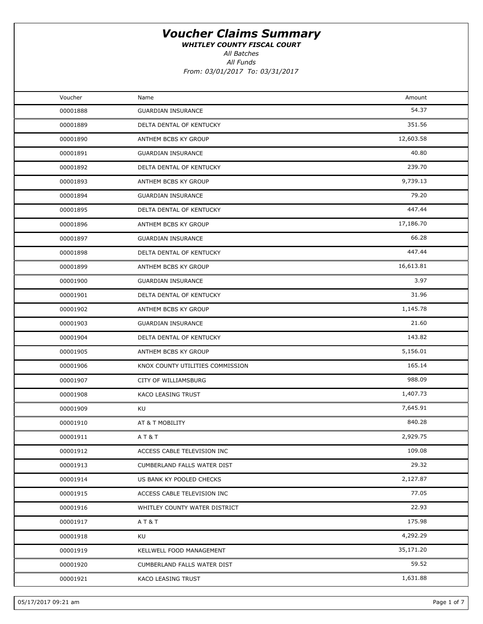WHITLEY COUNTY FISCAL COURT

All Batches

| Voucher  | Name                             | Amount    |
|----------|----------------------------------|-----------|
| 00001888 | <b>GUARDIAN INSURANCE</b>        | 54.37     |
| 00001889 | DELTA DENTAL OF KENTUCKY         | 351.56    |
| 00001890 | ANTHEM BCBS KY GROUP             | 12,603.58 |
| 00001891 | <b>GUARDIAN INSURANCE</b>        | 40.80     |
| 00001892 | DELTA DENTAL OF KENTUCKY         | 239.70    |
| 00001893 | ANTHEM BCBS KY GROUP             | 9,739.13  |
| 00001894 | <b>GUARDIAN INSURANCE</b>        | 79.20     |
| 00001895 | DELTA DENTAL OF KENTUCKY         | 447.44    |
| 00001896 | ANTHEM BCBS KY GROUP             | 17,186.70 |
| 00001897 | <b>GUARDIAN INSURANCE</b>        | 66.28     |
| 00001898 | DELTA DENTAL OF KENTUCKY         | 447.44    |
| 00001899 | ANTHEM BCBS KY GROUP             | 16,613.81 |
| 00001900 | <b>GUARDIAN INSURANCE</b>        | 3.97      |
| 00001901 | DELTA DENTAL OF KENTUCKY         | 31.96     |
| 00001902 | ANTHEM BCBS KY GROUP             | 1,145.78  |
| 00001903 | <b>GUARDIAN INSURANCE</b>        | 21.60     |
| 00001904 | DELTA DENTAL OF KENTUCKY         | 143.82    |
| 00001905 | ANTHEM BCBS KY GROUP             | 5,156.01  |
| 00001906 | KNOX COUNTY UTILITIES COMMISSION | 165.14    |
| 00001907 | CITY OF WILLIAMSBURG             | 988.09    |
| 00001908 | KACO LEASING TRUST               | 1,407.73  |
| 00001909 | KU                               | 7,645.91  |
| 00001910 | AT & T MOBILITY                  | 840.28    |
| 00001911 | AT&T                             | 2,929.75  |
| 00001912 | ACCESS CABLE TELEVISION INC      | 109.08    |
| 00001913 | CUMBERLAND FALLS WATER DIST      | 29.32     |
| 00001914 | US BANK KY POOLED CHECKS         | 2,127.87  |
| 00001915 | ACCESS CABLE TELEVISION INC      | 77.05     |
| 00001916 | WHITLEY COUNTY WATER DISTRICT    | 22.93     |
| 00001917 | AT&T                             | 175.98    |
| 00001918 | KU                               | 4,292.29  |
| 00001919 | KELLWELL FOOD MANAGEMENT         | 35,171.20 |
| 00001920 | CUMBERLAND FALLS WATER DIST      | 59.52     |
| 00001921 | KACO LEASING TRUST               | 1,631.88  |
|          |                                  |           |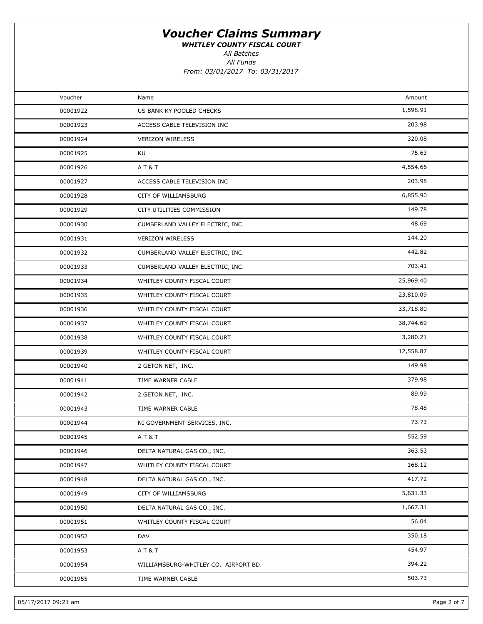WHITLEY COUNTY FISCAL COURT

All Batches

| Voucher  | Name                                 | Amount    |  |
|----------|--------------------------------------|-----------|--|
| 00001922 | US BANK KY POOLED CHECKS             | 1,598.91  |  |
| 00001923 | ACCESS CABLE TELEVISION INC          | 203.98    |  |
| 00001924 | <b>VERIZON WIRELESS</b>              | 320.08    |  |
| 00001925 | KU                                   | 75.63     |  |
| 00001926 | AT&T                                 | 4,554.66  |  |
| 00001927 | ACCESS CABLE TELEVISION INC          | 203.98    |  |
| 00001928 | CITY OF WILLIAMSBURG                 | 6,855.90  |  |
| 00001929 | CITY UTILITIES COMMISSION            | 149.78    |  |
| 00001930 | CUMBERLAND VALLEY ELECTRIC, INC.     | 48.69     |  |
| 00001931 | <b>VERIZON WIRELESS</b>              | 144.20    |  |
| 00001932 | CUMBERLAND VALLEY ELECTRIC, INC.     | 442.82    |  |
| 00001933 | CUMBERLAND VALLEY ELECTRIC, INC.     | 703.41    |  |
| 00001934 | WHITLEY COUNTY FISCAL COURT          | 25,969.40 |  |
| 00001935 | WHITLEY COUNTY FISCAL COURT          | 23,810.09 |  |
| 00001936 | WHITLEY COUNTY FISCAL COURT          | 33,718.80 |  |
| 00001937 | WHITLEY COUNTY FISCAL COURT          | 38,744.69 |  |
| 00001938 | WHITLEY COUNTY FISCAL COURT          | 3,280.21  |  |
| 00001939 | WHITLEY COUNTY FISCAL COURT          | 12,558.87 |  |
| 00001940 | 2 GETON NET, INC.                    | 149.98    |  |
| 00001941 | TIME WARNER CABLE                    | 379.98    |  |
| 00001942 | 2 GETON NET, INC.                    | 89.99     |  |
| 00001943 | TIME WARNER CABLE                    | 78.48     |  |
| 00001944 | NI GOVERNMENT SERVICES, INC.         | 73.73     |  |
| 00001945 | AT&T                                 | 552.59    |  |
| 00001946 | DELTA NATURAL GAS CO., INC.          | 363.53    |  |
| 00001947 | WHITLEY COUNTY FISCAL COURT          | 168.12    |  |
| 00001948 | DELTA NATURAL GAS CO., INC.          | 417.72    |  |
| 00001949 | CITY OF WILLIAMSBURG                 | 5,631.33  |  |
| 00001950 | DELTA NATURAL GAS CO., INC.          | 1,667.31  |  |
| 00001951 | WHITLEY COUNTY FISCAL COURT          | 56.04     |  |
| 00001952 | DAV                                  | 350.18    |  |
| 00001953 | AT&T                                 | 454.97    |  |
| 00001954 | WILLIAMSBURG-WHITLEY CO. AIRPORT BD. | 394.22    |  |
| 00001955 | TIME WARNER CABLE                    | 503.73    |  |
|          |                                      |           |  |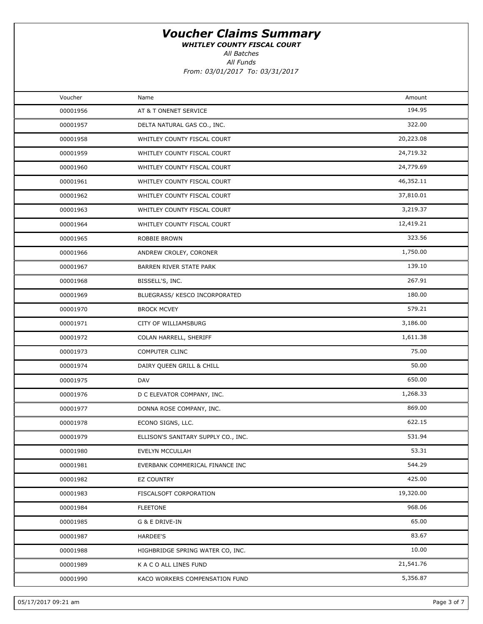WHITLEY COUNTY FISCAL COURT

All Funds All Batches

From: 03/01/2017 To: 03/31/2017

| Voucher  | Name                                | Amount    |  |
|----------|-------------------------------------|-----------|--|
| 00001956 | AT & T ONENET SERVICE               | 194.95    |  |
| 00001957 | DELTA NATURAL GAS CO., INC.         | 322.00    |  |
| 00001958 | WHITLEY COUNTY FISCAL COURT         | 20,223.08 |  |
| 00001959 | WHITLEY COUNTY FISCAL COURT         | 24,719.32 |  |
| 00001960 | WHITLEY COUNTY FISCAL COURT         | 24,779.69 |  |
| 00001961 | WHITLEY COUNTY FISCAL COURT         | 46,352.11 |  |
| 00001962 | WHITLEY COUNTY FISCAL COURT         | 37,810.01 |  |
| 00001963 | WHITLEY COUNTY FISCAL COURT         | 3,219.37  |  |
| 00001964 | WHITLEY COUNTY FISCAL COURT         | 12,419.21 |  |
| 00001965 | ROBBIE BROWN                        | 323.56    |  |
| 00001966 | ANDREW CROLEY, CORONER              | 1,750.00  |  |
| 00001967 | BARREN RIVER STATE PARK             | 139.10    |  |
| 00001968 | BISSELL'S, INC.                     | 267.91    |  |
| 00001969 | BLUEGRASS/ KESCO INCORPORATED       | 180.00    |  |
| 00001970 | <b>BROCK MCVEY</b>                  | 579.21    |  |
| 00001971 | CITY OF WILLIAMSBURG                | 3,186.00  |  |
| 00001972 | COLAN HARRELL, SHERIFF              | 1,611.38  |  |
| 00001973 | COMPUTER CLINC                      | 75.00     |  |
| 00001974 | DAIRY QUEEN GRILL & CHILL           | 50.00     |  |
| 00001975 | DAV                                 | 650.00    |  |
| 00001976 | D C ELEVATOR COMPANY, INC.          | 1,268.33  |  |
| 00001977 | DONNA ROSE COMPANY, INC.            | 869.00    |  |
| 00001978 | ECONO SIGNS, LLC.                   | 622.15    |  |
| 00001979 | ELLISON'S SANITARY SUPPLY CO., INC. | 531.94    |  |
| 00001980 | EVELYN MCCULLAH                     | 53.31     |  |
| 00001981 | EVERBANK COMMERICAL FINANCE INC     | 544.29    |  |
| 00001982 | EZ COUNTRY                          | 425.00    |  |
| 00001983 | FISCALSOFT CORPORATION              | 19,320.00 |  |
| 00001984 | <b>FLEETONE</b>                     | 968.06    |  |
| 00001985 | G & E DRIVE-IN                      | 65.00     |  |
| 00001987 | <b>HARDEE'S</b>                     | 83.67     |  |
| 00001988 | HIGHBRIDGE SPRING WATER CO, INC.    | 10.00     |  |
| 00001989 | K A C O ALL LINES FUND              | 21,541.76 |  |
| 00001990 | KACO WORKERS COMPENSATION FUND      | 5,356.87  |  |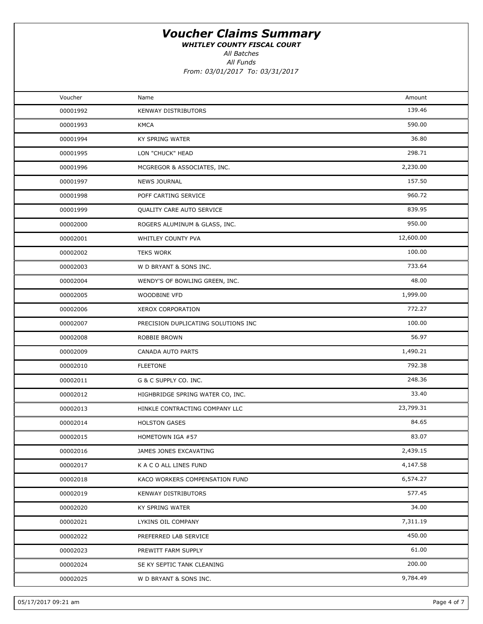WHITLEY COUNTY FISCAL COURT

All Batches

All Funds

From: 03/01/2017 To: 03/31/2017

| Voucher  | Name                                | Amount    |  |
|----------|-------------------------------------|-----------|--|
| 00001992 | KENWAY DISTRIBUTORS                 | 139.46    |  |
| 00001993 | <b>KMCA</b>                         | 590.00    |  |
| 00001994 | KY SPRING WATER                     | 36.80     |  |
| 00001995 | LON "CHUCK" HEAD                    | 298.71    |  |
| 00001996 | MCGREGOR & ASSOCIATES, INC.         | 2,230.00  |  |
| 00001997 | <b>NEWS JOURNAL</b>                 | 157.50    |  |
| 00001998 | POFF CARTING SERVICE                | 960.72    |  |
| 00001999 | QUALITY CARE AUTO SERVICE           | 839.95    |  |
| 00002000 | ROGERS ALUMINUM & GLASS, INC.       | 950.00    |  |
| 00002001 | WHITLEY COUNTY PVA                  | 12,600.00 |  |
| 00002002 | <b>TEKS WORK</b>                    | 100.00    |  |
| 00002003 | W D BRYANT & SONS INC.              | 733.64    |  |
| 00002004 | WENDY'S OF BOWLING GREEN, INC.      | 48.00     |  |
| 00002005 | WOODBINE VFD                        | 1,999.00  |  |
| 00002006 | <b>XEROX CORPORATION</b>            | 772.27    |  |
| 00002007 | PRECISION DUPLICATING SOLUTIONS INC | 100.00    |  |
| 00002008 | ROBBIE BROWN                        | 56.97     |  |
| 00002009 | CANADA AUTO PARTS                   | 1,490.21  |  |
| 00002010 | <b>FLEETONE</b>                     | 792.38    |  |
| 00002011 | G & C SUPPLY CO. INC.               | 248.36    |  |
| 00002012 | HIGHBRIDGE SPRING WATER CO, INC.    | 33.40     |  |
| 00002013 | HINKLE CONTRACTING COMPANY LLC      | 23,799.31 |  |
| 00002014 | <b>HOLSTON GASES</b>                | 84.65     |  |
| 00002015 | HOMETOWN IGA #57                    | 83.07     |  |
| 00002016 | JAMES JONES EXCAVATING              | 2,439.15  |  |
| 00002017 | K A C O ALL LINES FUND              | 4,147.58  |  |
| 00002018 | KACO WORKERS COMPENSATION FUND      | 6,574.27  |  |
| 00002019 | KENWAY DISTRIBUTORS                 | 577.45    |  |
| 00002020 | KY SPRING WATER                     | 34.00     |  |
| 00002021 | LYKINS OIL COMPANY                  | 7,311.19  |  |
| 00002022 | PREFERRED LAB SERVICE               | 450.00    |  |
| 00002023 | PREWITT FARM SUPPLY                 | 61.00     |  |
| 00002024 | SE KY SEPTIC TANK CLEANING          | 200.00    |  |
| 00002025 | W D BRYANT & SONS INC.              | 9,784.49  |  |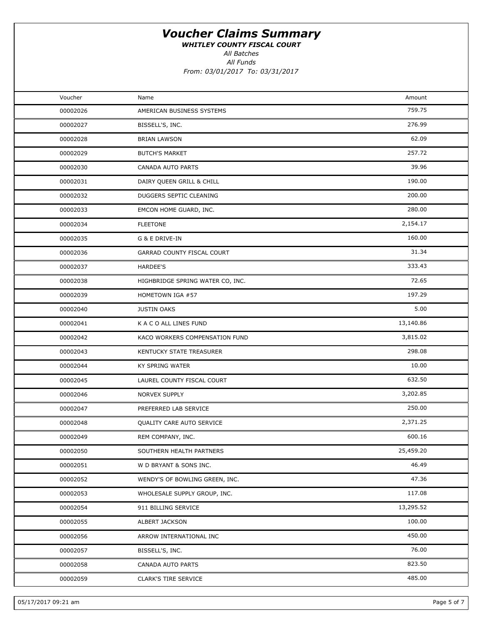WHITLEY COUNTY FISCAL COURT

All Batches

| Voucher  | Name                             | Amount    |  |
|----------|----------------------------------|-----------|--|
| 00002026 | AMERICAN BUSINESS SYSTEMS        | 759.75    |  |
| 00002027 | BISSELL'S, INC.                  | 276.99    |  |
| 00002028 | <b>BRIAN LAWSON</b>              | 62.09     |  |
| 00002029 | <b>BUTCH'S MARKET</b>            | 257.72    |  |
| 00002030 | CANADA AUTO PARTS                | 39.96     |  |
| 00002031 | DAIRY QUEEN GRILL & CHILL        | 190.00    |  |
| 00002032 | DUGGERS SEPTIC CLEANING          | 200.00    |  |
| 00002033 | EMCON HOME GUARD, INC.           | 280.00    |  |
| 00002034 | <b>FLEETONE</b>                  | 2,154.17  |  |
| 00002035 | G & E DRIVE-IN                   | 160.00    |  |
| 00002036 | GARRAD COUNTY FISCAL COURT       | 31.34     |  |
| 00002037 | <b>HARDEE'S</b>                  | 333.43    |  |
| 00002038 | HIGHBRIDGE SPRING WATER CO, INC. | 72.65     |  |
| 00002039 | HOMETOWN IGA #57                 | 197.29    |  |
| 00002040 | <b>JUSTIN OAKS</b>               | 5.00      |  |
| 00002041 | K A C O ALL LINES FUND           | 13,140.86 |  |
| 00002042 | KACO WORKERS COMPENSATION FUND   | 3,815.02  |  |
| 00002043 | KENTUCKY STATE TREASURER         | 298.08    |  |
| 00002044 | KY SPRING WATER                  | 10.00     |  |
| 00002045 | LAUREL COUNTY FISCAL COURT       | 632.50    |  |
| 00002046 | NORVEX SUPPLY                    | 3,202.85  |  |
| 00002047 | PREFERRED LAB SERVICE            | 250.00    |  |
| 00002048 | QUALITY CARE AUTO SERVICE        | 2,371.25  |  |
| 00002049 | REM COMPANY, INC.                | 600.16    |  |
| 00002050 | SOUTHERN HEALTH PARTNERS         | 25,459.20 |  |
| 00002051 | W D BRYANT & SONS INC.           | 46.49     |  |
| 00002052 | WENDY'S OF BOWLING GREEN, INC.   | 47.36     |  |
| 00002053 | WHOLESALE SUPPLY GROUP, INC.     | 117.08    |  |
| 00002054 | 911 BILLING SERVICE              | 13,295.52 |  |
| 00002055 | ALBERT JACKSON                   | 100.00    |  |
| 00002056 | ARROW INTERNATIONAL INC          | 450.00    |  |
| 00002057 | BISSELL'S, INC.                  | 76.00     |  |
| 00002058 | CANADA AUTO PARTS                | 823.50    |  |
| 00002059 | <b>CLARK'S TIRE SERVICE</b>      | 485.00    |  |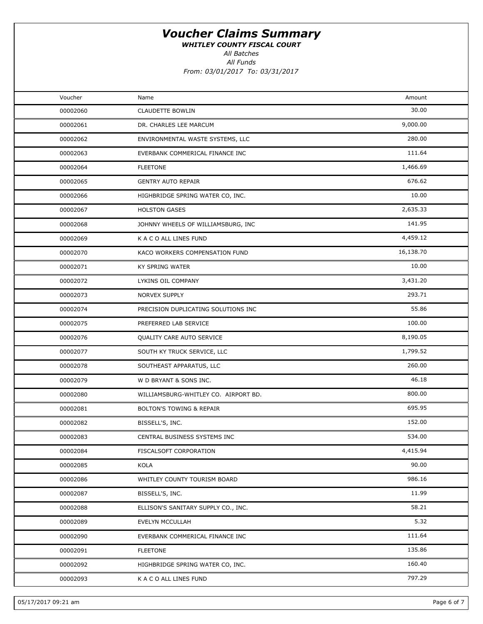WHITLEY COUNTY FISCAL COURT

All Batches

| Voucher  | Name                                 | Amount    |  |
|----------|--------------------------------------|-----------|--|
| 00002060 | <b>CLAUDETTE BOWLIN</b>              | 30.00     |  |
| 00002061 | DR. CHARLES LEE MARCUM               | 9,000.00  |  |
| 00002062 | ENVIRONMENTAL WASTE SYSTEMS, LLC     | 280.00    |  |
| 00002063 | EVERBANK COMMERICAL FINANCE INC      | 111.64    |  |
| 00002064 | <b>FLEETONE</b>                      | 1,466.69  |  |
| 00002065 | <b>GENTRY AUTO REPAIR</b>            | 676.62    |  |
| 00002066 | HIGHBRIDGE SPRING WATER CO, INC.     | 10.00     |  |
| 00002067 | <b>HOLSTON GASES</b>                 | 2,635.33  |  |
| 00002068 | JOHNNY WHEELS OF WILLIAMSBURG, INC   | 141.95    |  |
| 00002069 | K A C O ALL LINES FUND               | 4,459.12  |  |
| 00002070 | KACO WORKERS COMPENSATION FUND       | 16,138.70 |  |
| 00002071 | KY SPRING WATER                      | 10.00     |  |
| 00002072 | LYKINS OIL COMPANY                   | 3,431.20  |  |
| 00002073 | NORVEX SUPPLY                        | 293.71    |  |
| 00002074 | PRECISION DUPLICATING SOLUTIONS INC  | 55.86     |  |
| 00002075 | PREFERRED LAB SERVICE                | 100.00    |  |
| 00002076 | QUALITY CARE AUTO SERVICE            | 8,190.05  |  |
| 00002077 | SOUTH KY TRUCK SERVICE, LLC          | 1,799.52  |  |
| 00002078 | SOUTHEAST APPARATUS, LLC             | 260.00    |  |
| 00002079 | W D BRYANT & SONS INC.               | 46.18     |  |
| 00002080 | WILLIAMSBURG-WHITLEY CO. AIRPORT BD. | 800.00    |  |
| 00002081 | <b>BOLTON'S TOWING &amp; REPAIR</b>  | 695.95    |  |
| 00002082 | BISSELL'S, INC.                      | 152.00    |  |
| 00002083 | CENTRAL BUSINESS SYSTEMS INC         | 534.00    |  |
| 00002084 | FISCALSOFT CORPORATION               | 4,415.94  |  |
| 00002085 | KOLA                                 | 90.00     |  |
| 00002086 | WHITLEY COUNTY TOURISM BOARD         | 986.16    |  |
| 00002087 | BISSELL'S, INC.                      | 11.99     |  |
| 00002088 | ELLISON'S SANITARY SUPPLY CO., INC.  | 58.21     |  |
| 00002089 | EVELYN MCCULLAH                      | 5.32      |  |
| 00002090 | EVERBANK COMMERICAL FINANCE INC      | 111.64    |  |
| 00002091 | <b>FLEETONE</b>                      | 135.86    |  |
| 00002092 | HIGHBRIDGE SPRING WATER CO, INC.     | 160.40    |  |
| 00002093 | K A C O ALL LINES FUND               | 797.29    |  |
|          |                                      |           |  |